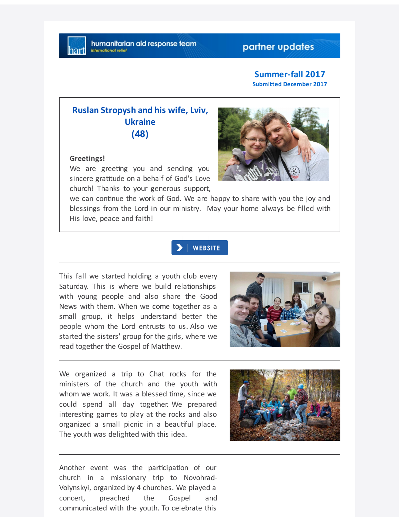# partner updates

#### **Summer-fall 2017 Submitted December 2017**

# **Ruslan Stropysh and his wife, Lviv, Ukraine (48)**

#### **Greetings!**

We are greeting you and sending you sincere gratitude on a behalf of God's Love church! Thanks to your generous support,



we can continue the work of God. We are happy to share with you the joy and blessings from the Lord in our ministry. May your home always be filled with His love, peace and faith!

## $\blacktriangleright$  | WEBSITE

This fall we started holding a youth club every Saturday. This is where we build relationships with young people and also share the Good News with them. When we come together as a small group, it helps understand better the people whom the Lord entrusts to us. Also we started the sisters' group for the girls, where we read together the Gospel of Matthew.



We organized a trip to Chat rocks for the ministers of the church and the youth with whom we work. It was a blessed time, since we could spend all day together. We prepared interesting games to play at the rocks and also organized a small picnic in a beautiful place. The youth was delighted with this idea.



Another event was the participation of our church in a missionary trip to Novohrad-Volynskyi, organized by 4 churches. We played a concert, preached the Gospel and communicated with the youth. To celebrate this